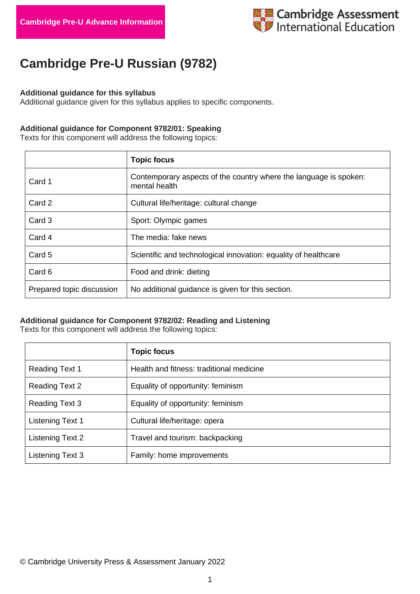

# **Cambridge Pre-U Russian (9782)**

#### **Additional guidance for this syllabus**

Additional guidance given for this syllabus applies to specific components.

## **Additional guidance for Component 9782/01: Speaking**

Texts for this component will address the following topics:

|                           | <b>Topic focus</b>                                                                 |
|---------------------------|------------------------------------------------------------------------------------|
| Card 1                    | Contemporary aspects of the country where the language is spoken:<br>mental health |
| Card 2                    | Cultural life/heritage: cultural change                                            |
| Card 3                    | Sport: Olympic games                                                               |
| Card 4                    | The media: fake news                                                               |
| Card 5                    | Scientific and technological innovation: equality of healthcare                    |
| Card 6                    | Food and drink: dieting                                                            |
| Prepared topic discussion | No additional guidance is given for this section.                                  |

## **Additional guidance for Component 9782/02: Reading and Listening**

Texts for this component will address the following topics:

|                         | <b>Topic focus</b>                       |
|-------------------------|------------------------------------------|
| <b>Reading Text 1</b>   | Health and fitness: traditional medicine |
| <b>Reading Text 2</b>   | Equality of opportunity: feminism        |
| Reading Text 3          | Equality of opportunity: feminism        |
| <b>Listening Text 1</b> | Cultural life/heritage: opera            |
| Listening Text 2        | Travel and tourism: backpacking          |
| <b>Listening Text 3</b> | Family: home improvements                |